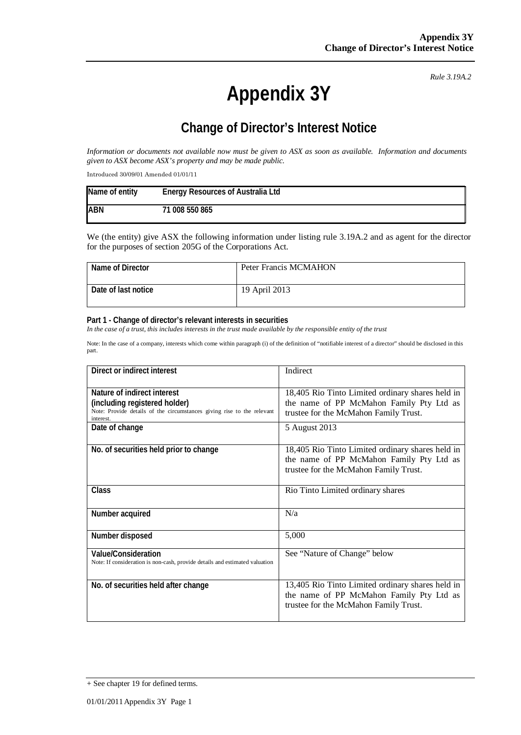# **Appendix 3Y**

*Rule 3.19A.2*

# **Change of Director's Interest Notice**

*Information or documents not available now must be given to ASX as soon as available. Information and documents given to ASX become ASX's property and may be made public.*

Introduced 30/09/01 Amended 01/01/11

| Name of entity | <b>Energy Resources of Australia Ltd</b> |
|----------------|------------------------------------------|
| <b>ABN</b>     | 71 008 550 865                           |

We (the entity) give ASX the following information under listing rule 3.19A.2 and as agent for the director for the purposes of section 205G of the Corporations Act.

| Name of Director    | Peter Francis MCMAHON |
|---------------------|-----------------------|
| Date of last notice | 19 April 2013         |

#### **Part 1 - Change of director's relevant interests in securities**

*In the case of a trust, this includes interests in the trust made available by the responsible entity of the trust*

Note: In the case of a company, interests which come within paragraph (i) of the definition of "notifiable interest of a director" should be disclosed in this part.

| Direct or indirect interest                                                                                                                         | Indirect                                                                                                                              |
|-----------------------------------------------------------------------------------------------------------------------------------------------------|---------------------------------------------------------------------------------------------------------------------------------------|
| Nature of indirect interest<br>(including registered holder)<br>Note: Provide details of the circumstances giving rise to the relevant<br>interest. | 18,405 Rio Tinto Limited ordinary shares held in<br>the name of PP McMahon Family Pty Ltd as<br>trustee for the McMahon Family Trust. |
| Date of change                                                                                                                                      | 5 August 2013                                                                                                                         |
| No. of securities held prior to change                                                                                                              | 18,405 Rio Tinto Limited ordinary shares held in<br>the name of PP McMahon Family Pty Ltd as<br>trustee for the McMahon Family Trust. |
| Class                                                                                                                                               | Rio Tinto Limited ordinary shares                                                                                                     |
| Number acquired                                                                                                                                     | N/a                                                                                                                                   |
| Number disposed                                                                                                                                     | 5,000                                                                                                                                 |
| <b>Value/Consideration</b><br>Note: If consideration is non-cash, provide details and estimated valuation                                           | See "Nature of Change" below                                                                                                          |
| No. of securities held after change                                                                                                                 | 13,405 Rio Tinto Limited ordinary shares held in<br>the name of PP McMahon Family Pty Ltd as<br>trustee for the McMahon Family Trust. |

 $+$  See chapter 19 for defined terms.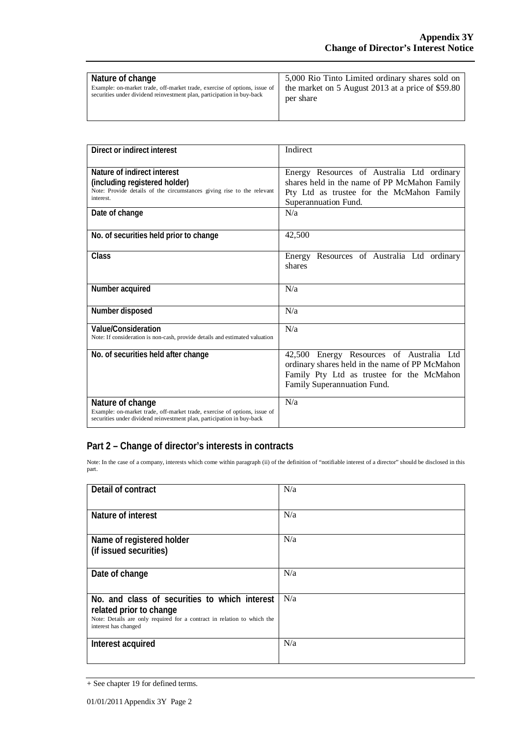| Nature of change                                                          | 5,000 Rio Tinto Limited ordinary shares sold on    |
|---------------------------------------------------------------------------|----------------------------------------------------|
| Example: on-market trade, off-market trade, exercise of options, issue of | the market on 5 August 2013 at a price of $$59.80$ |
| securities under dividend reinvestment plan, participation in buy-back    | per share                                          |

| Direct or indirect interest                                                                                                                                             | Indirect                                                                                                                                                               |
|-------------------------------------------------------------------------------------------------------------------------------------------------------------------------|------------------------------------------------------------------------------------------------------------------------------------------------------------------------|
| Nature of indirect interest<br>(including registered holder)<br>Note: Provide details of the circumstances giving rise to the relevant<br>interest.                     | Energy Resources of Australia Ltd ordinary<br>shares held in the name of PP McMahon Family<br>Pty Ltd as trustee for the McMahon Family<br>Superannuation Fund.        |
| Date of change                                                                                                                                                          | N/a                                                                                                                                                                    |
| No. of securities held prior to change                                                                                                                                  | 42,500                                                                                                                                                                 |
| Class                                                                                                                                                                   | Energy Resources of Australia Ltd ordinary<br>shares                                                                                                                   |
| Number acquired                                                                                                                                                         | N/a                                                                                                                                                                    |
| Number disposed                                                                                                                                                         | N/a                                                                                                                                                                    |
| <b>Value/Consideration</b><br>Note: If consideration is non-cash, provide details and estimated valuation                                                               | N/a                                                                                                                                                                    |
| No. of securities held after change                                                                                                                                     | 42,500 Energy Resources of Australia Ltd<br>ordinary shares held in the name of PP McMahon<br>Family Pty Ltd as trustee for the McMahon<br>Family Superannuation Fund. |
| Nature of change<br>Example: on-market trade, off-market trade, exercise of options, issue of<br>securities under dividend reinvestment plan, participation in buy-back | N/a                                                                                                                                                                    |

### **Part 2 – Change of director's interests in contracts**

Note: In the case of a company, interests which come within paragraph (ii) of the definition of "notifiable interest of a director" should be disclosed in this part.

| Detail of contract                                                                                                                                                          | N/a |
|-----------------------------------------------------------------------------------------------------------------------------------------------------------------------------|-----|
| Nature of interest                                                                                                                                                          | N/a |
| Name of registered holder<br>(if issued securities)                                                                                                                         | N/a |
| Date of change                                                                                                                                                              | N/a |
| No. and class of securities to which interest<br>related prior to change<br>Note: Details are only required for a contract in relation to which the<br>interest has changed | N/a |
| Interest acquired                                                                                                                                                           | N/a |

<sup>+</sup> See chapter 19 for defined terms.